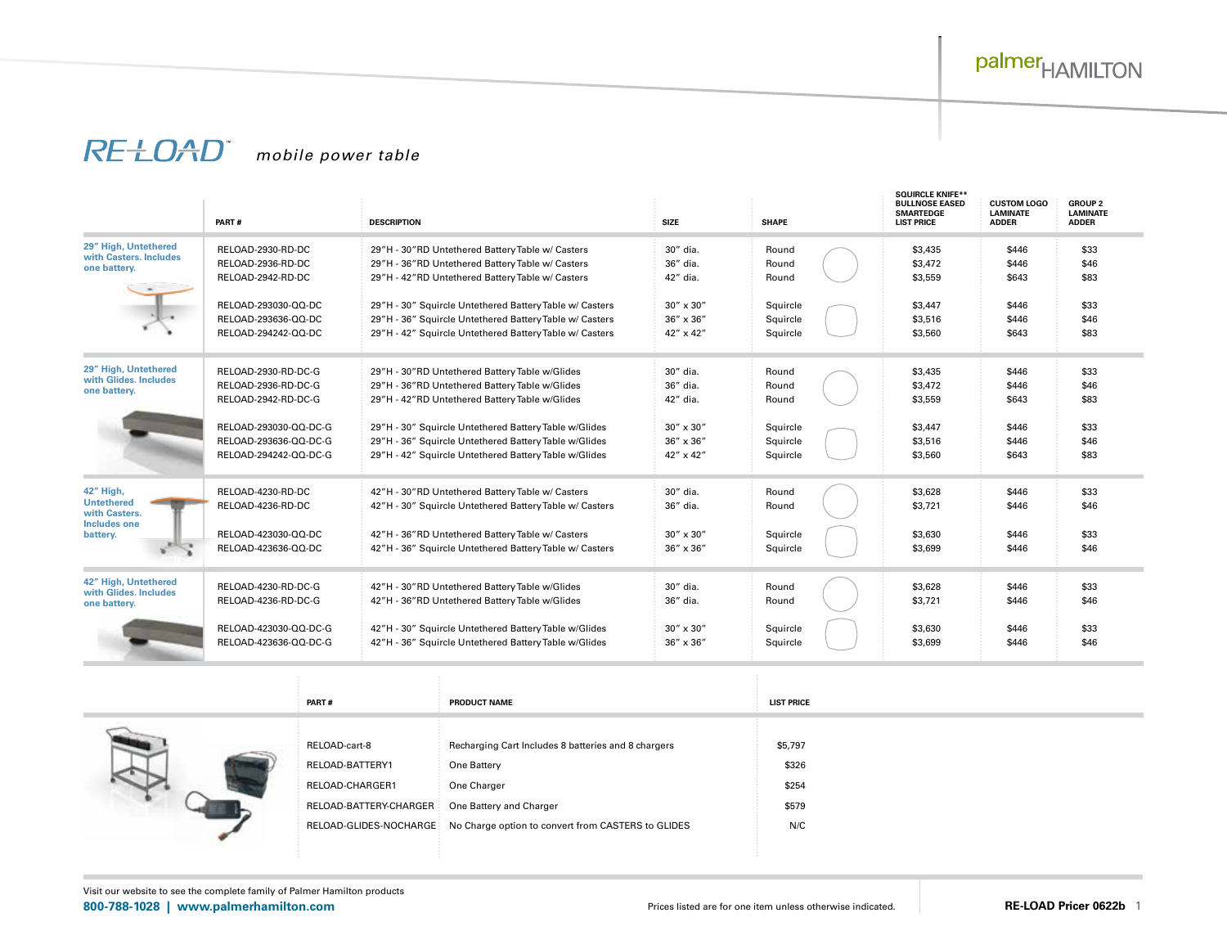## *mobile power table*

|                                                                                    | PART#                 | <b>DESCRIPTION</b>                                      | <b>SIZE</b>        | <b>SHAPE</b> | <b>SQUIRCLE KNIFE**</b><br><b>BULLNOSE EASED</b><br><b>SMARTEDGE</b><br><b>LIST PRICE</b> | <b>CUSTOM LOGO</b><br><b>LAMINATE</b><br><b>ADDER</b> | <b>GROUP 2</b><br><b>LAMINATE</b><br><b>ADDER</b> |
|------------------------------------------------------------------------------------|-----------------------|---------------------------------------------------------|--------------------|--------------|-------------------------------------------------------------------------------------------|-------------------------------------------------------|---------------------------------------------------|
| 29" High, Untethered<br>with Casters, Includes<br>one battery.                     | RELOAD-2930-RD-DC     | 29"H - 30"RD Untethered Battery Table w/ Casters        | 30" dia.           | Round        | \$3,435                                                                                   | \$446                                                 | \$33                                              |
|                                                                                    | RELOAD-2936-RD-DC     | 29"H - 36"RD Untethered Battery Table w/ Casters        | 36" dia.           | Round        | \$3,472                                                                                   | \$446                                                 | \$46                                              |
|                                                                                    | RELOAD-2942-RD-DC     | 29"H - 42"RD Untethered Battery Table w/ Casters        | 42" dia.           | Round        | \$3,559                                                                                   | \$643                                                 | \$83                                              |
|                                                                                    | RELOAD-293030-QQ-DC   | 29"H - 30" Squircle Untethered Battery Table w/ Casters | $30'' \times 30''$ | Squircle     | \$3,447                                                                                   | \$446                                                 | \$33                                              |
|                                                                                    | RELOAD-293636-OO-DC   | 29"H - 36" Squircle Untethered Battery Table w/ Casters | $36'' \times 36''$ | Squircle     | \$3,516                                                                                   | \$446                                                 | \$46                                              |
|                                                                                    | RELOAD-294242-QQ-DC   | 29"H - 42" Squircle Untethered Battery Table w/ Casters | $42'' \times 42''$ | Squircle     | \$3,560                                                                                   | \$643                                                 | \$83                                              |
| 29" High, Untethered                                                               | RELOAD-2930-RD-DC-G   | 29"H - 30"RD Untethered Battery Table w/Glides          | 30" dia.           | Round        | \$3,435                                                                                   | \$446                                                 | \$33                                              |
| with Glides, Includes                                                              | RELOAD-2936-RD-DC-G   | 29"H - 36"RD Untethered Battery Table w/Glides          | 36" dia.           | Round        | \$3,472                                                                                   | \$446                                                 | \$46                                              |
| one battery.                                                                       | RELOAD-2942-RD-DC-G   | 29"H - 42"RD Untethered Battery Table w/Glides          | 42" dia.           | Round        | \$3,559                                                                                   | \$643                                                 | \$83                                              |
|                                                                                    | RELOAD-293030-QQ-DC-G | 29"H - 30" Squircle Untethered Battery Table w/Glides   | 30" x 30"          | Squircle     | \$3,447                                                                                   | \$446                                                 | \$33                                              |
|                                                                                    | RELOAD-293636-QQ-DC-G | 29"H - 36" Squircle Untethered Battery Table w/Glides   | 36" x 36"          | Squircle     | \$3,516                                                                                   | \$446                                                 | \$46                                              |
|                                                                                    | RELOAD-294242-QQ-DC-G | 29"H - 42" Squircle Untethered Battery Table w/Glides   | $42'' \times 42''$ | Squircle     | \$3,560                                                                                   | \$643                                                 | \$83                                              |
| 42" High,<br><b>Untethered</b><br>with Casters.<br><b>Includes one</b><br>battery. | RELOAD-4230-RD-DC     | 42"H - 30"RD Untethered Battery Table w/ Casters        | 30" dia.           | Round        | \$3,628                                                                                   | \$446                                                 | \$33                                              |
|                                                                                    | RELOAD-4236-RD-DC     | 42"H - 30" Squircle Untethered Battery Table w/ Casters | 36" dia.           | Round        | \$3,721                                                                                   | \$446                                                 | \$46                                              |
|                                                                                    | RELOAD-423030-QQ-DC   | 42"H - 36"RD Untethered Battery Table w/ Casters        | $30'' \times 30''$ | Squircle     | \$3,630                                                                                   | \$446                                                 | \$33                                              |
|                                                                                    | RELOAD-423636-QQ-DC   | 42"H - 36" Squircle Untethered Battery Table w/ Casters | $36'' \times 36''$ | Squircle     | \$3,699                                                                                   | \$446                                                 | \$46                                              |
| 42" High, Untethered                                                               | RELOAD-4230-RD-DC-G   | 42"H - 30"RD Untethered Battery Table w/Glides          | 30" dia.           | Round        | \$3,628                                                                                   | \$446                                                 | \$33                                              |
| with Glides, Includes<br>one battery.                                              | RELOAD-4236-RD-DC-G   | 42"H - 36"RD Untethered Battery Table w/Glides          | 36" dia.           | Round        | \$3,721                                                                                   | \$446                                                 | \$46                                              |
|                                                                                    | RELOAD-423030-QQ-DC-G | 42"H - 30" Squircle Untethered Battery Table w/Glides   | $30'' \times 30''$ | Squircle     | \$3,630                                                                                   | \$446                                                 | \$33                                              |
|                                                                                    | RELOAD-423636-QQ-DC-G | 42"H - 36" Squircle Untethered Battery Table w/Glides   | $36'' \times 36''$ | Squircle     | \$3,699                                                                                   | \$446                                                 | \$46                                              |

| PART#                  | <b>PRODUCT NAME</b>                                 | <b>LIST PRICE</b> |
|------------------------|-----------------------------------------------------|-------------------|
| RELOAD-cart-8          | Recharging Cart Includes 8 batteries and 8 chargers | \$5,797           |
| RELOAD-BATTERY1        | One Battery                                         | \$326             |
| RELOAD-CHARGER1        | One Charger                                         | \$254             |
| RELOAD-BATTERY-CHARGER | One Battery and Charger                             | \$579             |
| RELOAD-GLIDES-NOCHARGE | No Charge option to convert from CASTERS to GLIDES  | N/C               |

 $\sim$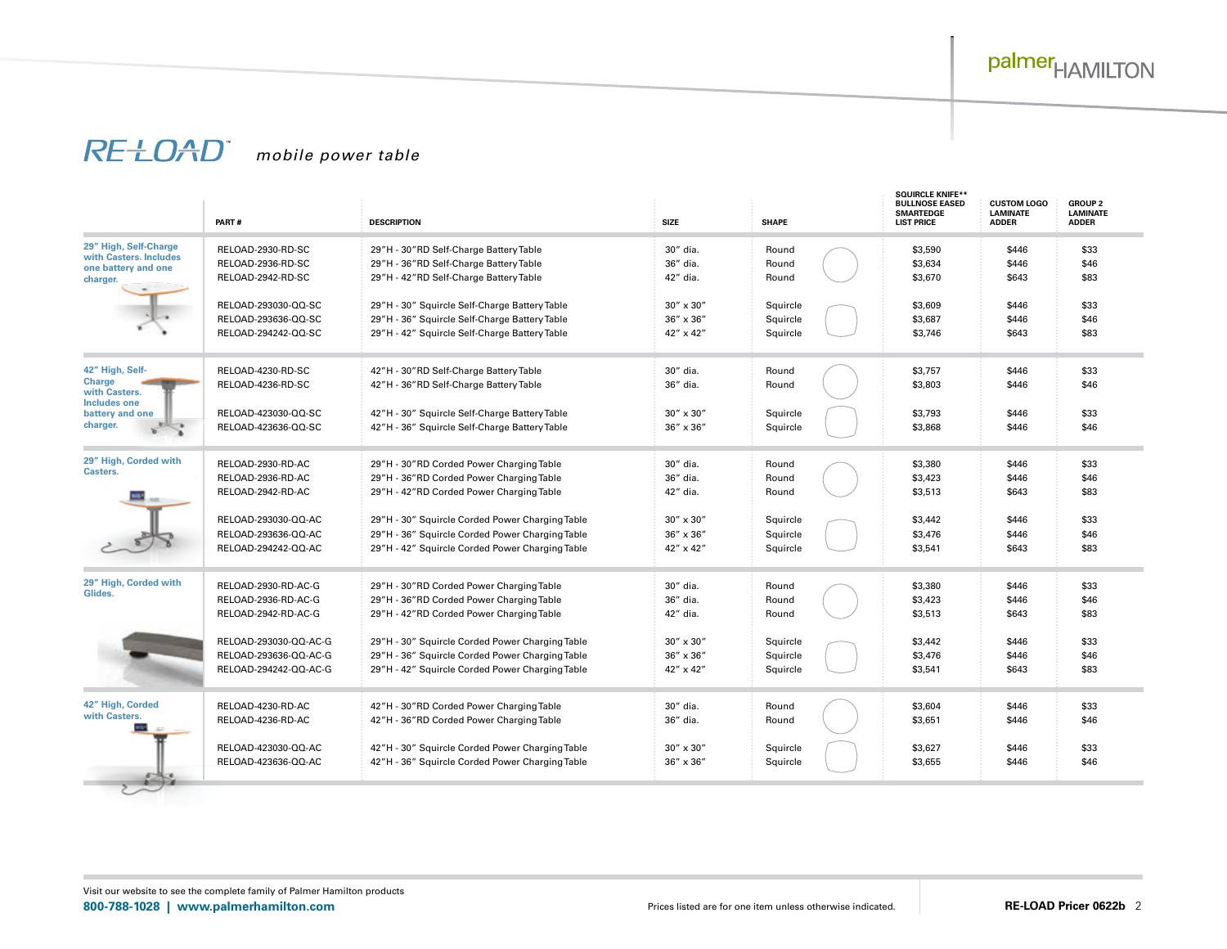# palmer<sub>HAMILTON</sub>

## *mobile power table*

|                                                | PART#                 | <b>DESCRIPTION</b>                              | <b>SIZE</b>        | <b>SHAPE</b> | <b>SQUIRCLE KNIFE**</b><br><b>BULLNOSE EASED</b><br><b>SMARTEDGE</b><br><b>LIST PRICE</b> | <b>CUSTOM LOGO</b><br><b>LAMINATE</b><br><b>ADDER</b> | <b>GROUP 2</b><br><b>LAMINATE</b><br><b>ADDER</b> |
|------------------------------------------------|-----------------------|-------------------------------------------------|--------------------|--------------|-------------------------------------------------------------------------------------------|-------------------------------------------------------|---------------------------------------------------|
| 29" High, Self-Charge                          | RELOAD-2930-RD-SC     | 29"H - 30"RD Self-Charge Battery Table          | 30" dia.           | Round        | \$3,590                                                                                   | \$446                                                 | \$33                                              |
| with Casters. Includes<br>one battery and one  | RELOAD-2936-RD-SC     | 29"H - 36"RD Self-Charge Battery Table          | 36" dia.           | Round        | \$3,634                                                                                   | \$446                                                 | \$46                                              |
| charger.                                       | RELOAD-2942-RD-SC     | 29"H - 42"RD Self-Charge Battery Table          | 42" dia.           | Round        | \$3,670                                                                                   | \$643                                                 | \$83                                              |
|                                                | RELOAD-293030-QQ-SC   | 29"H - 30" Squircle Self-Charge Battery Table   | $30'' \times 30''$ | Squircle     | \$3,609                                                                                   | \$446                                                 | \$33                                              |
|                                                | RELOAD-293636-QQ-SC   | 29"H - 36" Squircle Self-Charge Battery Table   | $36'' \times 36''$ | Squircle     | \$3,687                                                                                   | \$446                                                 | \$46                                              |
|                                                | RELOAD-294242-QQ-SC   | 29"H - 42" Squircle Self-Charge Battery Table   | 42" x 42"          | Squircle     | \$3,746                                                                                   | \$643                                                 | \$83                                              |
| 42" High, Self-                                | RELOAD-4230-RD-SC     | 42"H - 30"RD Self-Charge Battery Table          | 30" dia.           | Round        | \$3,757                                                                                   | \$446                                                 | \$33                                              |
| <b>Charge</b><br>with Casters.<br>Includes one | RELOAD-4236-RD-SC     | 42"H - 36"RD Self-Charge Battery Table          | 36" dia.           | Round        | \$3,803                                                                                   | \$446                                                 | \$46                                              |
| battery and one                                | RELOAD-423030-QQ-SC   | 42"H - 30" Squircle Self-Charge Battery Table   | $30'' \times 30''$ | Squircle     | \$3,793                                                                                   | \$446                                                 | \$33                                              |
| charger.                                       | RELOAD-423636-OO-SC   | 42"H - 36" Squircle Self-Charge Battery Table   | $36'' \times 36''$ | Squircle     | \$3,868                                                                                   | \$446                                                 | \$46                                              |
| 29" High, Corded with                          | RELOAD-2930-RD-AC     | 29"H - 30"RD Corded Power Charging Table        | 30" dia.           | Round        | \$3,380                                                                                   | \$446                                                 | \$33                                              |
| Casters.                                       | RELOAD-2936-RD-AC     | 29"H - 36"RD Corded Power Charging Table        | 36" dia.           | Round        | \$3,423                                                                                   | \$446                                                 | \$46                                              |
|                                                | RELOAD-2942-RD-AC     | 29"H - 42"RD Corded Power Charging Table        | 42" dia.           | Round        | \$3,513                                                                                   | \$643                                                 | \$83                                              |
|                                                | RELOAD-293030-QQ-AC   | 29"H - 30" Squircle Corded Power Charging Table | $30'' \times 30''$ | Squircle     | \$3,442                                                                                   | \$446                                                 | \$33                                              |
|                                                | RELOAD-293636-QQ-AC   | 29"H - 36" Squircle Corded Power Charging Table | 36" x 36"          | Squircle     | \$3,476                                                                                   | \$446                                                 | \$46                                              |
|                                                | RELOAD-294242-QQ-AC   | 29"H - 42" Squircle Corded Power Charging Table | 42" x 42"          | Squircle     | \$3,541                                                                                   | \$643                                                 | \$83                                              |
| 29" High, Corded with<br>Glides.               | RELOAD-2930-RD-AC-G   | 29"H - 30"RD Corded Power Charging Table        | 30" dia.           | Round        | \$3,380                                                                                   | \$446                                                 | \$33                                              |
|                                                | RELOAD-2936-RD-AC-G   | 29"H - 36"RD Corded Power Charging Table        | 36" dia.           | Round        | \$3,423                                                                                   | \$446                                                 | \$46                                              |
|                                                | RELOAD-2942-RD-AC-G   | 29"H - 42"RD Corded Power Charging Table        | 42" dia.           | Round        | \$3,513                                                                                   | \$643                                                 | \$83                                              |
|                                                | RELOAD-293030-QQ-AC-G | 29"H - 30" Squircle Corded Power Charging Table | $30'' \times 30''$ | Squircle     | \$3,442                                                                                   | \$446                                                 | \$33                                              |
|                                                | RELOAD-293636-QQ-AC-G | 29"H - 36" Squircle Corded Power Charging Table | $36'' \times 36''$ | Squircle     | \$3,476                                                                                   | \$446                                                 | \$46                                              |
|                                                | RELOAD-294242-QQ-AC-G | 29"H - 42" Squircle Corded Power Charging Table | 42" x 42"          | Squircle     | \$3,541                                                                                   | \$643                                                 | \$83                                              |
| 42" High, Corded                               | RELOAD-4230-RD-AC     | 42"H - 30"RD Corded Power Charging Table        | 30" dia.           | Round        | \$3,604                                                                                   | \$446                                                 | \$33                                              |
| with Casters.                                  | RELOAD-4236-RD-AC     | 42"H - 36"RD Corded Power Charging Table        | 36" dia.           | Round        | \$3,651                                                                                   | \$446                                                 | \$46                                              |
|                                                | RELOAD-423030-QQ-AC   | 42"H - 30" Squircle Corded Power Charging Table | $30'' \times 30''$ | Squircle     | \$3,627                                                                                   | \$446                                                 | \$33                                              |
|                                                | RELOAD-423636-QQ-AC   | 42"H - 36" Squircle Corded Power Charging Table | 36" x 36"          | Squircle     | \$3,655                                                                                   | \$446                                                 | \$46                                              |